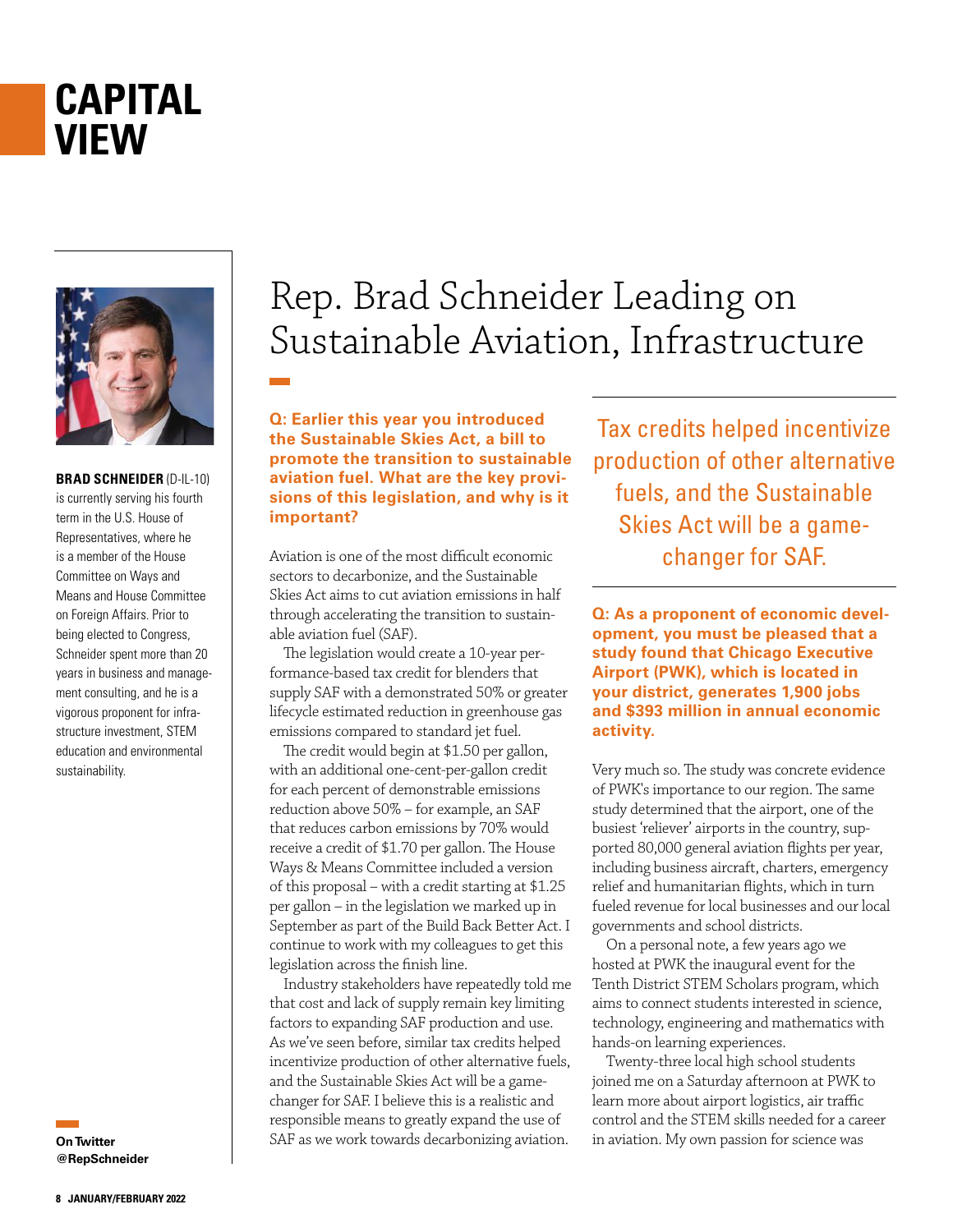## **CAPITAL VIEW**



**BRAD SCHNEIDER** (D-IL-10) is currently serving his fourth term in the U.S. House of Representatives, where he is a member of the House Committee on Ways and Means and House Committee on Foreign Affairs. Prior to being elected to Congress, Schneider spent more than 20 years in business and management consulting, and he is a vigorous proponent for infrastructure investment, STEM education and environmental sustainability.

**On Twitter @RepSchneider**

## Rep. Brad Schneider Leading on Sustainable Aviation, Infrastructure

**Q: Earlier this year you introduced the Sustainable Skies Act, a bill to promote the transition to sustainable aviation fuel. What are the key provisions of this legislation, and why is it important?**

Aviation is one of the most difficult economic sectors to decarbonize, and the Sustainable Skies Act aims to cut aviation emissions in half through accelerating the transition to sustainable aviation fuel (SAF).

The legislation would create a 10-year performance-based tax credit for blenders that supply SAF with a demonstrated 50% or greater lifecycle estimated reduction in greenhouse gas emissions compared to standard jet fuel.

The credit would begin at \$1.50 per gallon, with an additional one-cent-per-gallon credit for each percent of demonstrable emissions reduction above 50% – for example, an SAF that reduces carbon emissions by 70% would receive a credit of \$1.70 per gallon. The House Ways & Means Committee included a version of this proposal – with a credit starting at \$1.25 per gallon – in the legislation we marked up in September as part of the Build Back Better Act. I continue to work with my colleagues to get this legislation across the finish line.

Industry stakeholders have repeatedly told me that cost and lack of supply remain key limiting factors to expanding SAF production and use. As we've seen before, similar tax credits helped incentivize production of other alternative fuels, and the Sustainable Skies Act will be a gamechanger for SAF. I believe this is a realistic and responsible means to greatly expand the use of SAF as we work towards decarbonizing aviation.

Tax credits helped incentivize production of other alternative fuels, and the Sustainable Skies Act will be a gamechanger for SAF.

**Q: As a proponent of economic development, you must be pleased that a study found that Chicago Executive Airport (PWK), which is located in your district, generates 1,900 jobs and \$393 million in annual economic activity.** 

Very much so. The study was concrete evidence of PWK's importance to our region. The same study determined that the airport, one of the busiest 'reliever' airports in the country, supported 80,000 general aviation flights per year, including business aircraft, charters, emergency relief and humanitarian flights, which in turn fueled revenue for local businesses and our local governments and school districts.

On a personal note, a few years ago we hosted at PWK the inaugural event for the Tenth District STEM Scholars program, which aims to connect students interested in science, technology, engineering and mathematics with hands-on learning experiences.

Twenty-three local high school students joined me on a Saturday afternoon at PWK to learn more about airport logistics, air traffic control and the STEM skills needed for a career in aviation. My own passion for science was